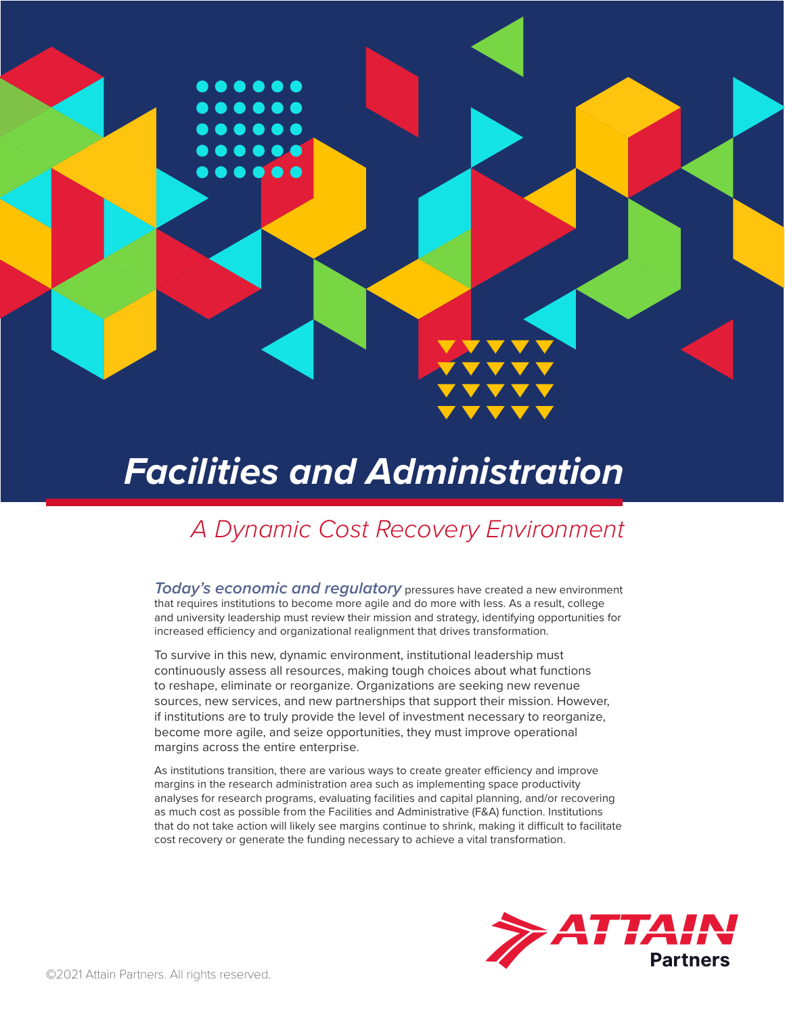

# *Facilities and Administration*

# *A Dynamic Cost Recovery Environment*

*Today's economic and regulatory* pressures have created a new environment that requires institutions to become more agile and do more with less. As a result, college and university leadership must review their mission and strategy, identifying opportunities for increased efficiency and organizational realignment that drives transformation.

To survive in this new, dynamic environment, institutional leadership must continuously assess all resources, making tough choices about what functions to reshape, eliminate or reorganize. Organizations are seeking new revenue sources, new services, and new partnerships that support their mission. However, if institutions are to truly provide the level of investment necessary to reorganize, become more agile, and seize opportunities, they must improve operational margins across the entire enterprise.

As institutions transition, there are various ways to create greater efficiency and improve margins in the research administration area such as implementing space productivity analyses for research programs, evaluating facilities and capital planning, and/or recovering as much cost as possible from the Facilities and Administrative (F&A) function. Institutions that do not take action will likely see margins continue to shrink, making it difficult to facilitate cost recovery or generate the funding necessary to achieve a vital transformation.